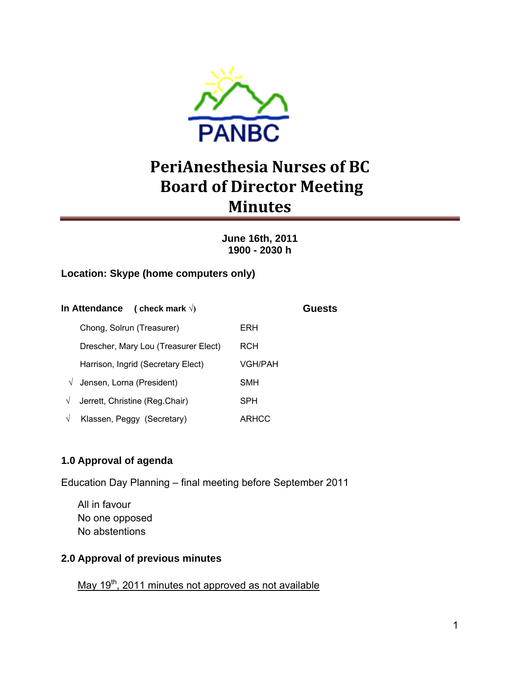

# **PeriAnesthesia Nurses of BC Board of Director Meeting Minutes**

## **June 16th, 2011 1900 - 2030 h**

## **Location: Skype (home computers only)**

| <b>In Attendance</b><br>(check mark $\sqrt{ }$ ) |         | Guests |
|--------------------------------------------------|---------|--------|
| Chong, Solrun (Treasurer)                        | ERH     |        |
| Drescher, Mary Lou (Treasurer Elect)             | RCH     |        |
| Harrison, Ingrid (Secretary Elect)               | VGH/PAH |        |
| Jensen, Lorna (President)<br>$\sqrt{}$           | SMH     |        |
| Jerrett, Christine (Reg.Chair)<br>V              | SPH     |        |
| Klassen, Peggy (Secretary)                       | ARHCC   |        |

# **1.0 Approval of agenda**

Education Day Planning – final meeting before September 2011

All in favour No one opposed No abstentions

## **2.0 Approval of previous minutes**

May 19<sup>th</sup>, 2011 minutes not approved as not available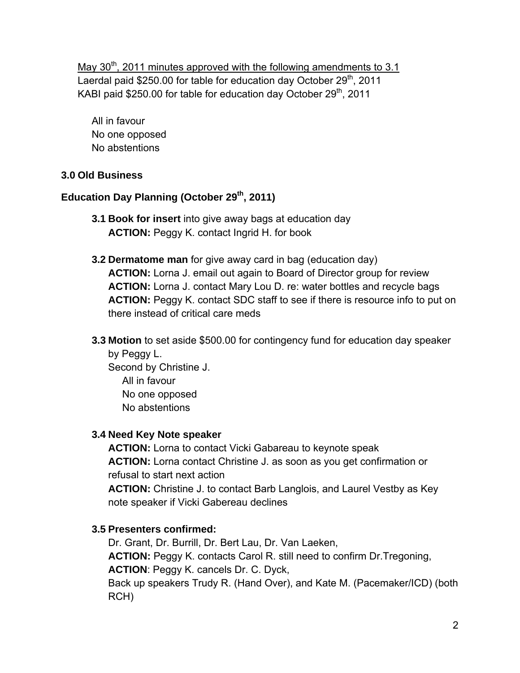May  $30<sup>th</sup>$ , 2011 minutes approved with the following amendments to 3.1 Laerdal paid \$250.00 for table for education day October 29<sup>th</sup>, 2011 KABI paid  $$250.00$  for table for education day October  $29<sup>th</sup>$ , 2011

All in favour No one opposed No abstentions

## **3.0 Old Business**

# Education Day Planning (October 29<sup>th</sup>, 2011)

- **3.1 Book for insert** into give away bags at education day **ACTION:** Peggy K. contact Ingrid H. for book
- **3.2 Dermatome man** for give away card in bag (education day) **ACTION:** Lorna J. email out again to Board of Director group for review **ACTION:** Lorna J. contact Mary Lou D. re: water bottles and recycle bags **ACTION:** Peggy K. contact SDC staff to see if there is resource info to put on there instead of critical care meds
- **3.3 Motion** to set aside \$500.00 for contingency fund for education day speaker by Peggy L.

Second by Christine J. All in favour No one opposed No abstentions

## **3.4 Need Key Note speaker**

**ACTION:** Lorna to contact Vicki Gabareau to keynote speak **ACTION:** Lorna contact Christine J. as soon as you get confirmation or refusal to start next action

**ACTION:** Christine J. to contact Barb Langlois, and Laurel Vestby as Key note speaker if Vicki Gabereau declines

# **3.5 Presenters confirmed:**

Dr. Grant, Dr. Burrill, Dr. Bert Lau, Dr. Van Laeken, **ACTION:** Peggy K. contacts Carol R. still need to confirm Dr.Tregoning, **ACTION**: Peggy K. cancels Dr. C. Dyck, Back up speakers Trudy R. (Hand Over), and Kate M. (Pacemaker/ICD) (both RCH)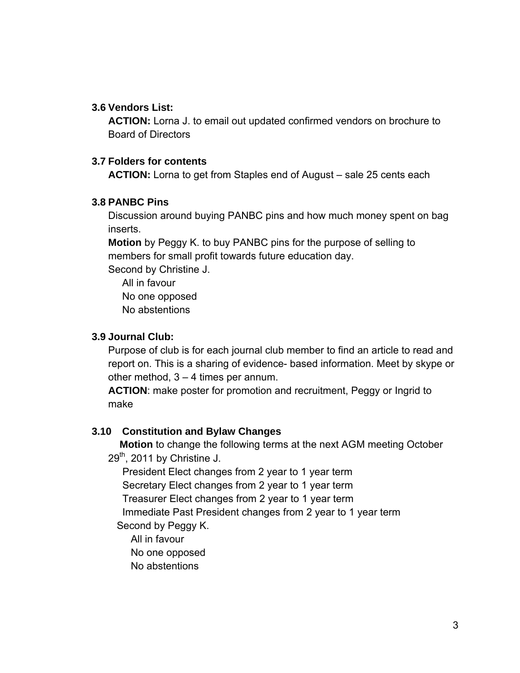## **3.6 Vendors List:**

**ACTION:** Lorna J. to email out updated confirmed vendors on brochure to Board of Directors

#### **3.7 Folders for contents**

**ACTION:** Lorna to get from Staples end of August – sale 25 cents each

#### **3.8 PANBC Pins**

Discussion around buying PANBC pins and how much money spent on bag inserts.

**Motion** by Peggy K. to buy PANBC pins for the purpose of selling to members for small profit towards future education day.

Second by Christine J.

All in favour No one opposed No abstentions

#### **3.9 Journal Club:**

Purpose of club is for each journal club member to find an article to read and report on. This is a sharing of evidence- based information. Meet by skype or other method, 3 – 4 times per annum.

**ACTION**: make poster for promotion and recruitment, Peggy or Ingrid to make

## **3.10 Constitution and Bylaw Changes**

 **Motion** to change the following terms at the next AGM meeting October  $29<sup>th</sup>$ , 2011 by Christine J.

President Elect changes from 2 year to 1 year term

Secretary Elect changes from 2 year to 1 year term

Treasurer Elect changes from 2 year to 1 year term

 Immediate Past President changes from 2 year to 1 year term Second by Peggy K.

All in favour

No one opposed

No abstentions